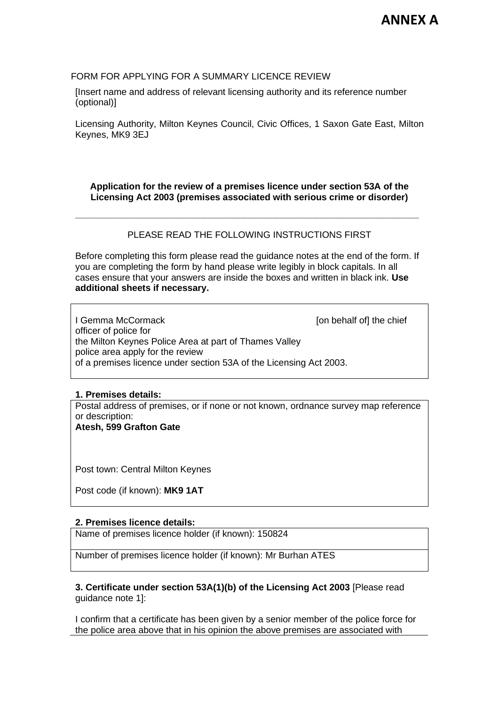# FORM FOR APPLYING FOR A SUMMARY LICENCE REVIEW

[Insert name and address of relevant licensing authority and its reference number (optional)]

Licensing Authority, Milton Keynes Council, Civic Offices, 1 Saxon Gate East, Milton Keynes, MK9 3EJ

**Application for the review of a premises licence under section 53A of the Licensing Act 2003 (premises associated with serious crime or disorder)**

### PLEASE READ THE FOLLOWING INSTRUCTIONS FIRST

**\_\_\_\_\_\_\_\_\_\_\_\_\_\_\_\_\_\_\_\_\_\_\_\_\_\_\_\_\_\_\_\_\_\_\_\_\_\_\_\_\_\_\_\_\_\_\_\_\_\_\_\_\_\_\_\_\_\_\_\_\_\_\_\_\_\_\_**

Before completing this form please read the guidance notes at the end of the form. If you are completing the form by hand please write legibly in block capitals. In all cases ensure that your answers are inside the boxes and written in black ink. **Use additional sheets if necessary.**

I Gemma McCormack **I** community and the chief in behalf of the chief officer of police for the Milton Keynes Police Area at part of Thames Valley police area apply for the review of a premises licence under section 53A of the Licensing Act 2003.

# **1. Premises details:**

Postal address of premises, or if none or not known, ordnance survey map reference or description:

**Atesh, 599 Grafton Gate**

Post town: Central Milton Keynes

Post code (if known): **MK9 1AT**

# **2. Premises licence details:**

Name of premises licence holder (if known): 150824

Number of premises licence holder (if known): Mr Burhan ATES

# **3. Certificate under section 53A(1)(b) of the Licensing Act 2003** [Please read guidance note 1]:

I confirm that a certificate has been given by a senior member of the police force for the police area above that in his opinion the above premises are associated with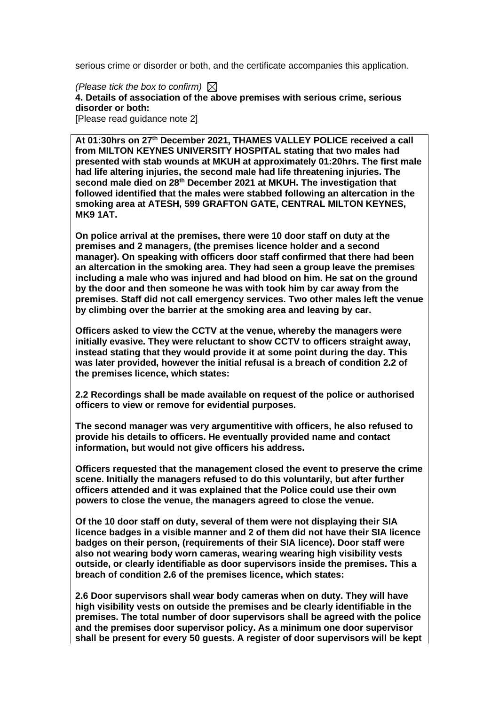serious crime or disorder or both, and the certificate accompanies this application.

*(Please tick the box to confirm)* **4. Details of association of the above premises with serious crime, serious disorder or both:** [Please read guidance note 2]

**At 01:30hrs on 27th December 2021, THAMES VALLEY POLICE received a call from MILTON KEYNES UNIVERSITY HOSPITAL stating that two males had presented with stab wounds at MKUH at approximately 01:20hrs. The first male had life altering injuries, the second male had life threatening injuries. The second male died on 28th December 2021 at MKUH. The investigation that followed identified that the males were stabbed following an altercation in the smoking area at ATESH, 599 GRAFTON GATE, CENTRAL MILTON KEYNES, MK9 1AT.**

**On police arrival at the premises, there were 10 door staff on duty at the premises and 2 managers, (the premises licence holder and a second manager). On speaking with officers door staff confirmed that there had been an altercation in the smoking area. They had seen a group leave the premises including a male who was injured and had blood on him. He sat on the ground by the door and then someone he was with took him by car away from the premises. Staff did not call emergency services. Two other males left the venue by climbing over the barrier at the smoking area and leaving by car.** 

**Officers asked to view the CCTV at the venue, whereby the managers were initially evasive. They were reluctant to show CCTV to officers straight away, instead stating that they would provide it at some point during the day. This was later provided, however the initial refusal is a breach of condition 2.2 of the premises licence, which states:**

**2.2 Recordings shall be made available on request of the police or authorised officers to view or remove for evidential purposes.** 

**The second manager was very argumentitive with officers, he also refused to provide his details to officers. He eventually provided name and contact information, but would not give officers his address.**

**Officers requested that the management closed the event to preserve the crime scene. Initially the managers refused to do this voluntarily, but after further officers attended and it was explained that the Police could use their own powers to close the venue, the managers agreed to close the venue.**

**Of the 10 door staff on duty, several of them were not displaying their SIA licence badges in a visible manner and 2 of them did not have their SIA licence badges on their person, (requirements of their SIA licence). Door staff were also not wearing body worn cameras, wearing wearing high visibility vests outside, or clearly identifiable as door supervisors inside the premises. This a breach of condition 2.6 of the premises licence, which states:**

**2.6 Door supervisors shall wear body cameras when on duty. They will have high visibility vests on outside the premises and be clearly identifiable in the premises. The total number of door supervisors shall be agreed with the police and the premises door supervisor policy. As a minimum one door supervisor shall be present for every 50 guests. A register of door supervisors will be kept**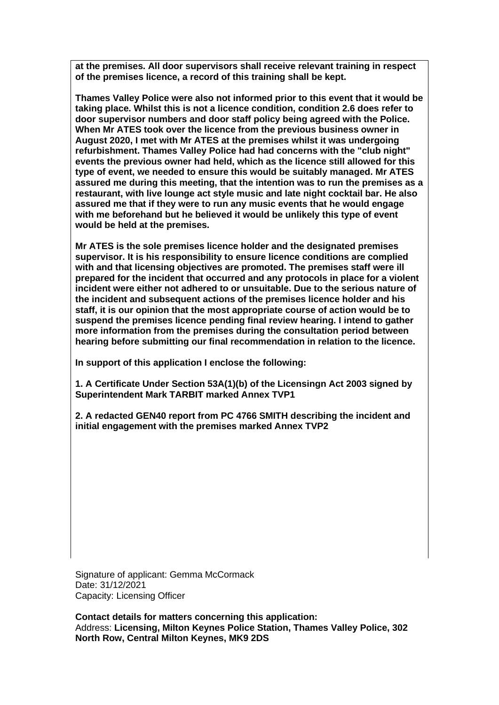**at the premises. All door supervisors shall receive relevant training in respect of the premises licence, a record of this training shall be kept.** 

**Thames Valley Police were also not informed prior to this event that it would be taking place. Whilst this is not a licence condition, condition 2.6 does refer to door supervisor numbers and door staff policy being agreed with the Police. When Mr ATES took over the licence from the previous business owner in August 2020, I met with Mr ATES at the premises whilst it was undergoing refurbishment. Thames Valley Police had had concerns with the "club night" events the previous owner had held, which as the licence still allowed for this type of event, we needed to ensure this would be suitably managed. Mr ATES assured me during this meeting, that the intention was to run the premises as a restaurant, with live lounge act style music and late night cocktail bar. He also assured me that if they were to run any music events that he would engage with me beforehand but he believed it would be unlikely this type of event would be held at the premises.** 

**Mr ATES is the sole premises licence holder and the designated premises supervisor. It is his responsibility to ensure licence conditions are complied with and that licensing objectives are promoted. The premises staff were ill prepared for the incident that occurred and any protocols in place for a violent incident were either not adhered to or unsuitable. Due to the serious nature of the incident and subsequent actions of the premises licence holder and his staff, it is our opinion that the most appropriate course of action would be to suspend the premises licence pending final review hearing. I intend to gather more information from the premises during the consultation period between hearing before submitting our final recommendation in relation to the licence.**

**In support of this application I enclose the following:**

**1. A Certificate Under Section 53A(1)(b) of the Licensingn Act 2003 signed by Superintendent Mark TARBIT marked Annex TVP1**

**2. A redacted GEN40 report from PC 4766 SMITH describing the incident and initial engagement with the premises marked Annex TVP2**

Signature of applicant: Gemma McCormack Date: 31/12/2021 Capacity: Licensing Officer

**Contact details for matters concerning this application:** Address: **Licensing, Milton Keynes Police Station, Thames Valley Police, 302 North Row, Central Milton Keynes, MK9 2DS**